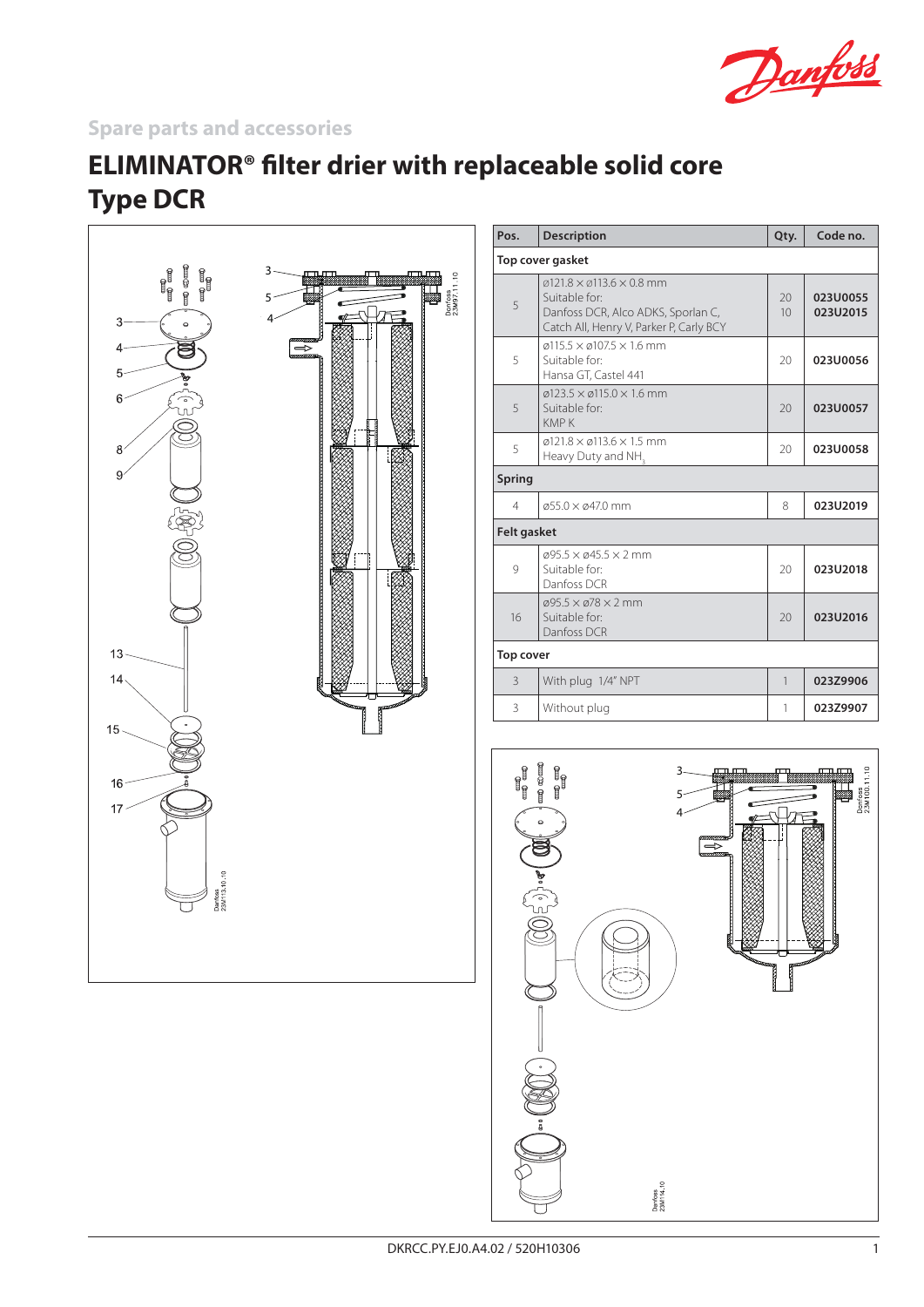

## **Spare parts and accessories**

## **ELIMINATOR® filter drier with replaceable solid core Type DCR**



| Pos.               | <b>Description</b>                                                                                                                                                 | Qty.         | Code no.             |
|--------------------|--------------------------------------------------------------------------------------------------------------------------------------------------------------------|--------------|----------------------|
| Top cover gasket   |                                                                                                                                                                    |              |                      |
| 5                  | $\varnothing$ 121.8 $\times$ $\varnothing$ 113.6 $\times$ 0.8 mm<br>Suitable for:<br>Danfoss DCR, Alco ADKS, Sporlan C,<br>Catch All, Henry V, Parker P, Carly BCY | 20<br>10     | 023U0055<br>023U2015 |
| 5                  | $\varphi$ 115.5 $\times$ $\varphi$ 107.5 $\times$ 1.6 mm<br>Suitable for:<br>Hansa GT, Castel 441                                                                  | 20           | 023U0056             |
| 5                  | $\varphi$ 123.5 $\times$ $\varphi$ 115.0 $\times$ 1.6 mm<br>Suitable for:<br><b>KMPK</b>                                                                           | 20           | 023U0057             |
| 5                  | $\varphi$ 121.8 $\times$ $\varphi$ 113.6 $\times$ 1.5 mm<br>Heavy Duty and NH <sub>2</sub>                                                                         | 20           | 023U0058             |
| Spring             |                                                                                                                                                                    |              |                      |
| 4                  | $\alpha$ 55.0 $\times$ $\alpha$ 47.0 mm                                                                                                                            | 8            | 023U2019             |
| <b>Felt gasket</b> |                                                                                                                                                                    |              |                      |
| $\mathsf{Q}$       | $\varphi$ 95.5 $\times$ $\varphi$ 45.5 $\times$ 2 mm<br>Suitable for:<br>Danfoss DCR                                                                               | 20           | 023U2018             |
| 16                 | $\varphi$ 95.5 $\times$ $\varphi$ 78 $\times$ 2 mm<br>Suitable for:<br>Danfoss DCR                                                                                 | 20           | 023U2016             |
| Top cover          |                                                                                                                                                                    |              |                      |
| 3                  | With plug 1/4" NPT                                                                                                                                                 | $\mathbf{1}$ | 023Z9906             |
| 3                  | Without plug                                                                                                                                                       | 1            | 023Z9907             |
|                    |                                                                                                                                                                    |              |                      |